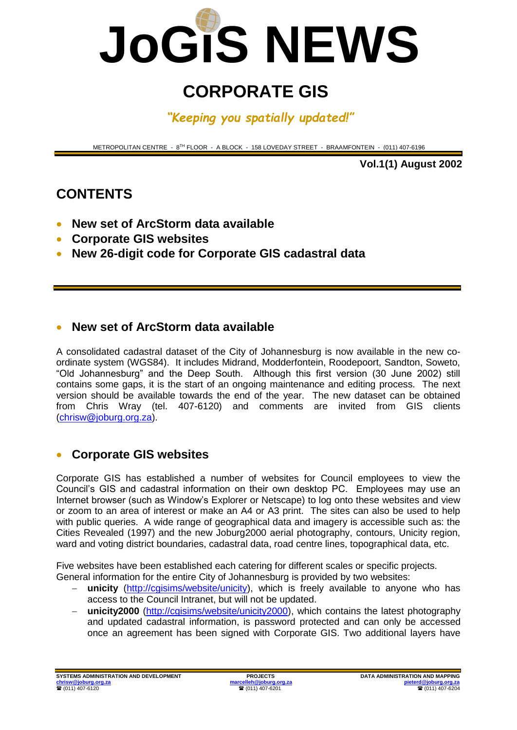

# **CORPORATE GIS**

*"Keeping you spatially updated!"*

METROPOLITAN CENTRE - 8 TH FLOOR - A BLOCK - 158 LOVEDAY STREET - BRAAMFONTEIN - (011) 407-6196

**Vol.1(1) August 2002**

# **CONTENTS**

- **New set of ArcStorm data available**
- **Corporate GIS websites**
- **New 26-digit code for Corporate GIS cadastral data**

#### **New set of ArcStorm data available**

A consolidated cadastral dataset of the City of Johannesburg is now available in the new coordinate system (WGS84). It includes Midrand, Modderfontein, Roodepoort, Sandton, Soweto, "Old Johannesburg" and the Deep South. Although this first version (30 June 2002) still contains some gaps, it is the start of an ongoing maintenance and editing process. The next version should be available towards the end of the year. The new dataset can be obtained from Chris Wray (tel. 407-6120) and comments are invited from GIS clients [\(chrisw@joburg.org.za\)](mailto:chrisw@joburg.org.za).

## **Corporate GIS websites**

Corporate GIS has established a number of websites for Council employees to view the Council's GIS and cadastral information on their own desktop PC. Employees may use an Internet browser (such as Window's Explorer or Netscape) to log onto these websites and view or zoom to an area of interest or make an A4 or A3 print. The sites can also be used to help with public queries. A wide range of geographical data and imagery is accessible such as: the Cities Revealed (1997) and the new Joburg2000 aerial photography, contours, Unicity region, ward and voting district boundaries, cadastral data, road centre lines, topographical data, etc.

Five websites have been established each catering for different scales or specific projects. General information for the entire City of Johannesburg is provided by two websites:

- **unicity** [\(http://cgisims/website/unicity\)](http://cgisims/website/unicity), which is freely available to anyone who has access to the Council Intranet, but will not be updated.
- unicity2000 [\(http://cgisims/website/unicity2000\)](http://cgisims/website/unicity2000), which contains the latest photography and updated cadastral information, is password protected and can only be accessed once an agreement has been signed with Corporate GIS. Two additional layers have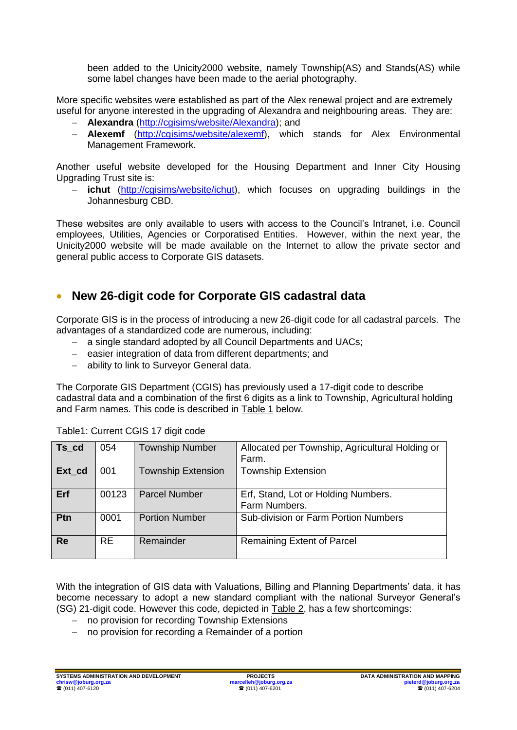been added to the Unicity2000 website, namely Township(AS) and Stands(AS) while some label changes have been made to the aerial photography.

More specific websites were established as part of the Alex renewal project and are extremely useful for anyone interested in the upgrading of Alexandra and neighbouring areas. They are:

- **Alexandra** [\(http://cgisims/website/Alexandra\)](http://cgisims/website/Alexandra); and
- **Alexemf** [\(http://cgisims/website/alexemf\)](http://cgisims/website/alexemf), which stands for Alex Environmental Management Framework.

Another useful website developed for the Housing Department and Inner City Housing Upgrading Trust site is:

 **ichut** [\(http://cgisims/website/ichut\)](http://cgisims/website/ichut), which focuses on upgrading buildings in the Johannesburg CBD.

These websites are only available to users with access to the Council's Intranet, i.e. Council employees, Utilities, Agencies or Corporatised Entities. However, within the next year, the Unicity2000 website will be made available on the Internet to allow the private sector and general public access to Corporate GIS datasets.

## **New 26-digit code for Corporate GIS cadastral data**

Corporate GIS is in the process of introducing a new 26-digit code for all cadastral parcels. The advantages of a standardized code are numerous, including:

- a single standard adopted by all Council Departments and UACs;
- easier integration of data from different departments; and
- ability to link to Surveyor General data.

The Corporate GIS Department (CGIS) has previously used a 17-digit code to describe cadastral data and a combination of the first 6 digits as a link to Township, Agricultural holding and Farm names. This code is described in Table 1 below.

| Ts_cd     | 054       | <b>Township Number</b>    | Allocated per Township, Agricultural Holding or<br>Farm. |
|-----------|-----------|---------------------------|----------------------------------------------------------|
| Ext_cd    | 001       | <b>Township Extension</b> | <b>Township Extension</b>                                |
| Erf       | 00123     | <b>Parcel Number</b>      | Erf, Stand, Lot or Holding Numbers.<br>Farm Numbers.     |
| Ptn       | 0001      | <b>Portion Number</b>     | Sub-division or Farm Portion Numbers                     |
| <b>Re</b> | <b>RE</b> | Remainder                 | <b>Remaining Extent of Parcel</b>                        |

Table1: Current CGIS 17 digit code

With the integration of GIS data with Valuations, Billing and Planning Departments' data, it has become necessary to adopt a new standard compliant with the national Surveyor General's (SG) 21-digit code. However this code, depicted in Table 2, has a few shortcomings:

- no provision for recording Township Extensions
- no provision for recording a Remainder of a portion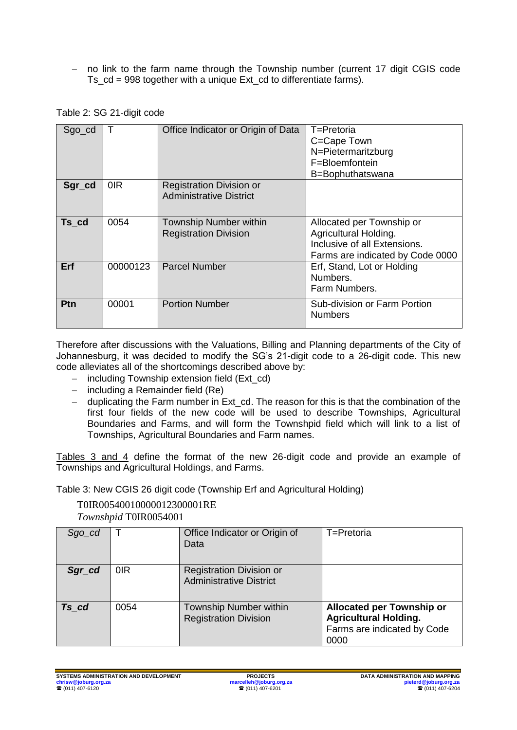no link to the farm name through the Township number (current 17 digit CGIS code Ts\_cd = 998 together with a unique Ext\_cd to differentiate farms).

| $Sgo_{cd}$ |          | Office Indicator or Origin of Data                                | T=Pretoria<br>C=Cape Town<br>N=Pietermaritzburg<br>F=Bloemfontein<br>B=Bophuthatswana                                  |
|------------|----------|-------------------------------------------------------------------|------------------------------------------------------------------------------------------------------------------------|
| Sgr_cd     | 0IR      | <b>Registration Division or</b><br><b>Administrative District</b> |                                                                                                                        |
| Ts cd      | 0054     | <b>Township Number within</b><br><b>Registration Division</b>     | Allocated per Township or<br>Agricultural Holding.<br>Inclusive of all Extensions.<br>Farms are indicated by Code 0000 |
| Erf        | 00000123 | <b>Parcel Number</b>                                              | Erf, Stand, Lot or Holding<br>Numbers.<br>Farm Numbers.                                                                |
| <b>Ptn</b> | 00001    | <b>Portion Number</b>                                             | Sub-division or Farm Portion<br><b>Numbers</b>                                                                         |

Therefore after discussions with the Valuations, Billing and Planning departments of the City of Johannesburg, it was decided to modify the SG's 21-digit code to a 26-digit code. This new code alleviates all of the shortcomings described above by:

- including Township extension field (Ext\_cd)
- $-$  including a Remainder field (Re)
- duplicating the Farm number in Ext\_cd. The reason for this is that the combination of the first four fields of the new code will be used to describe Townships, Agricultural Boundaries and Farms, and will form the Townshpid field which will link to a list of Townships, Agricultural Boundaries and Farm names.

Tables 3 and 4 define the format of the new 26-digit code and provide an example of Townships and Agricultural Holdings, and Farms.

Table 3: New CGIS 26 digit code (Township Erf and Agricultural Holding)

#### T0IR00540010000012300001RE

*Townshpid* T0IR0054001

| $Sgo\_cd$ |      | Office Indicator or Origin of<br>Data                             | T=Pretoria                                                                                              |
|-----------|------|-------------------------------------------------------------------|---------------------------------------------------------------------------------------------------------|
| Sgr_cd    | 0IR  | <b>Registration Division or</b><br><b>Administrative District</b> |                                                                                                         |
| Ts cd     | 0054 | Township Number within<br><b>Registration Division</b>            | <b>Allocated per Township or</b><br><b>Agricultural Holding.</b><br>Farms are indicated by Code<br>0000 |